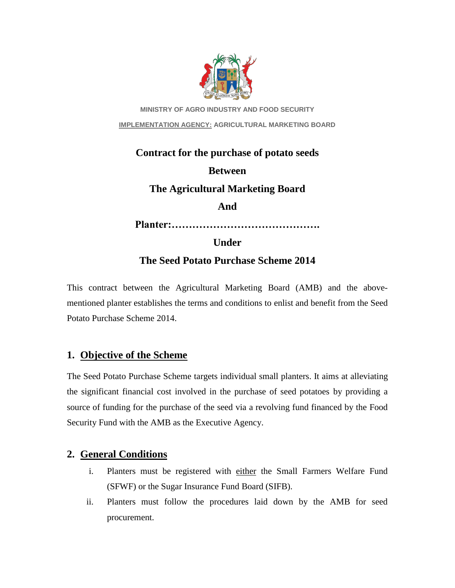

**MINISTRY OF AGRO INDUSTRY AND FOOD SECURITY IMPLEMENTATION AGENCY: AGRICULTURAL MARKETING BOARD**

# **Contract for the purchase of potato seeds Between The Agricultural Marketing Board And Planter:……………………………………. Under The Seed Potato Purchase Scheme 2014**

This contract between the Agricultural Marketing Board (AMB) and the abovementioned planter establishes the terms and conditions to enlist and benefit from the Seed Potato Purchase Scheme 2014.

# **1. Objective of the Scheme**

The Seed Potato Purchase Scheme targets individual small planters. It aims at alleviating the significant financial cost involved in the purchase of seed potatoes by providing a source of funding for the purchase of the seed via a revolving fund financed by the Food Security Fund with the AMB as the Executive Agency.

# **2. General Conditions**

- i. Planters must be registered with either the Small Farmers Welfare Fund (SFWF) or the Sugar Insurance Fund Board (SIFB).
- ii. Planters must follow the procedures laid down by the AMB for seed procurement.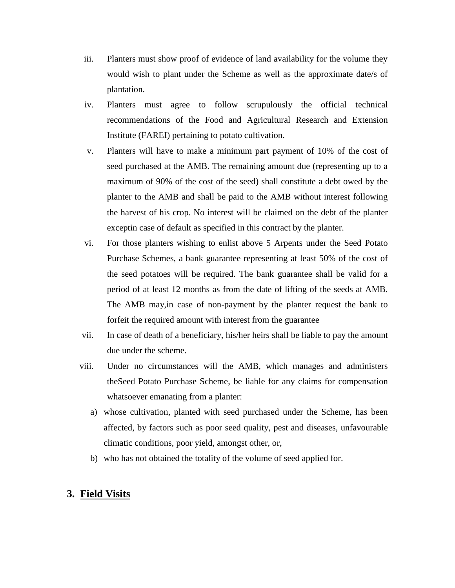- iii. Planters must show proof of evidence of land availability for the volume they would wish to plant under the Scheme as well as the approximate date/s of plantation.
- iv. Planters must agree to follow scrupulously the official technical recommendations of the Food and Agricultural Research and Extension Institute (FAREI) pertaining to potato cultivation.
- v. Planters will have to make a minimum part payment of 10% of the cost of seed purchased at the AMB. The remaining amount due (representing up to a maximum of 90% of the cost of the seed) shall constitute a debt owed by the planter to the AMB and shall be paid to the AMB without interest following the harvest of his crop. No interest will be claimed on the debt of the planter exceptin case of default as specified in this contract by the planter.
- vi. For those planters wishing to enlist above 5 Arpents under the Seed Potato Purchase Schemes, a bank guarantee representing at least 50% of the cost of the seed potatoes will be required. The bank guarantee shall be valid for a period of at least 12 months as from the date of lifting of the seeds at AMB. The AMB may,in case of non-payment by the planter request the bank to forfeit the required amount with interest from the guarantee
- vii. In case of death of a beneficiary, his/her heirs shall be liable to pay the amount due under the scheme.
- viii. Under no circumstances will the AMB, which manages and administers theSeed Potato Purchase Scheme, be liable for any claims for compensation whatsoever emanating from a planter:
	- a) whose cultivation, planted with seed purchased under the Scheme, has been affected, by factors such as poor seed quality, pest and diseases, unfavourable climatic conditions, poor yield, amongst other, or,
	- b) who has not obtained the totality of the volume of seed applied for.

### **3. Field Visits**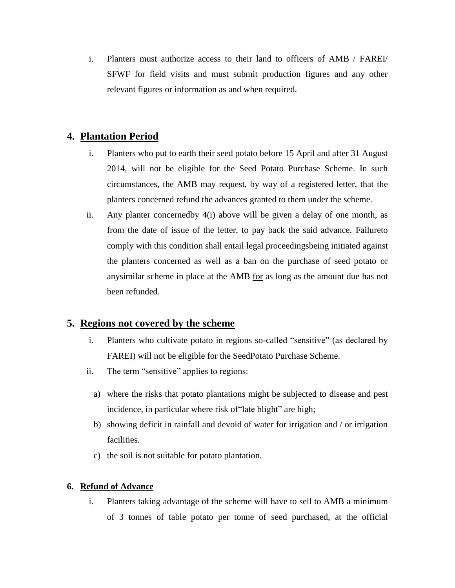i. Planters must authorize access to their land to officers of AMB / FAREI/ SFWF for field visits and must submit production figures and any other relevant figures or information as and when required.

# **4. Plantation Period**

- i. Planters who put to earth their seed potato before 15 April and after 31 August 2014, will not be eligible for the Seed Potato Purchase Scheme. In such circumstances, the AMB may request, by way of a registered letter, that the planters concerned refund the advances granted to them under the scheme.
- ii. Any planter concernedby 4(i) above will be given a delay of one month, as from the date of issue of the letter, to pay back the said advance. Failureto comply with this condition shall entail legal proceedingsbeing initiated against the planters concerned as well as a ban on the purchase of seed potato or anysimilar scheme in place at the AMB for as long as the amount due has not been refunded.

### **5. Regions not covered by the scheme**

- i. Planters who cultivate potato in regions so-called "sensitive" (as declared by FAREI) will not be eligible for the SeedPotato Purchase Scheme.
- ii. The term "sensitive" applies to regions:
	- a) where the risks that potato plantations might be subjected to disease and pest incidence, in particular where risk of 'late blight' are high;
	- b) showing deficit in rainfall and devoid of water for irrigation and / or irrigation facilities.
	- c) the soil is not suitable for potato plantation.

#### **6. Refund of Advance**

i. Planters taking advantage of the scheme will have to sell to AMB a minimum of 3 tonnes of table potato per tonne of seed purchased, at the official